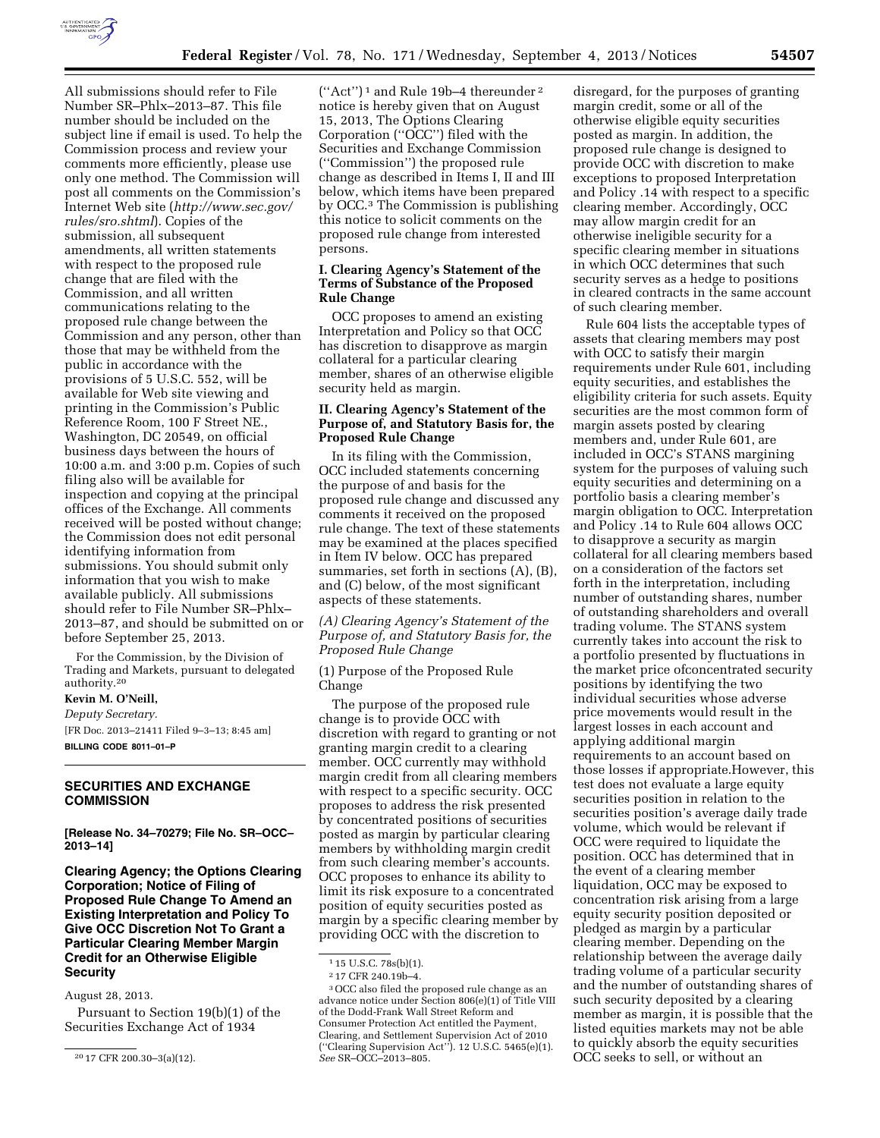

All submissions should refer to File Number SR–Phlx–2013–87. This file number should be included on the subject line if email is used. To help the Commission process and review your comments more efficiently, please use only one method. The Commission will post all comments on the Commission's Internet Web site (*[http://www.sec.gov/](http://www.sec.gov/rules/sro.shtml)  [rules/sro.shtml](http://www.sec.gov/rules/sro.shtml)*). Copies of the submission, all subsequent amendments, all written statements with respect to the proposed rule change that are filed with the Commission, and all written communications relating to the proposed rule change between the Commission and any person, other than those that may be withheld from the public in accordance with the provisions of 5 U.S.C. 552, will be available for Web site viewing and printing in the Commission's Public Reference Room, 100 F Street NE., Washington, DC 20549, on official business days between the hours of 10:00 a.m. and 3:00 p.m. Copies of such filing also will be available for inspection and copying at the principal offices of the Exchange. All comments received will be posted without change; the Commission does not edit personal identifying information from submissions. You should submit only information that you wish to make available publicly. All submissions should refer to File Number SR–Phlx– 2013–87, and should be submitted on or before September 25, 2013.

For the Commission, by the Division of Trading and Markets, pursuant to delegated authority.20

# **Kevin M. O'Neill,**

*Deputy Secretary.*  [FR Doc. 2013–21411 Filed 9–3–13; 8:45 am] **BILLING CODE 8011–01–P** 

# **SECURITIES AND EXCHANGE COMMISSION**

**[Release No. 34–70279; File No. SR–OCC– 2013–14]** 

**Clearing Agency; the Options Clearing Corporation; Notice of Filing of Proposed Rule Change To Amend an Existing Interpretation and Policy To Give OCC Discretion Not To Grant a Particular Clearing Member Margin Credit for an Otherwise Eligible Security** 

August 28, 2013.

Pursuant to Section 19(b)(1) of the Securities Exchange Act of 1934

(''Act'') 1 and Rule 19b–4 thereunder 2 notice is hereby given that on August 15, 2013, The Options Clearing Corporation (''OCC'') filed with the Securities and Exchange Commission (''Commission'') the proposed rule change as described in Items I, II and III below, which items have been prepared by OCC.3 The Commission is publishing this notice to solicit comments on the proposed rule change from interested persons.

# **I. Clearing Agency's Statement of the Terms of Substance of the Proposed Rule Change**

OCC proposes to amend an existing Interpretation and Policy so that OCC has discretion to disapprove as margin collateral for a particular clearing member, shares of an otherwise eligible security held as margin.

# **II. Clearing Agency's Statement of the Purpose of, and Statutory Basis for, the Proposed Rule Change**

In its filing with the Commission, OCC included statements concerning the purpose of and basis for the proposed rule change and discussed any comments it received on the proposed rule change. The text of these statements may be examined at the places specified in Item IV below. OCC has prepared summaries, set forth in sections (A), (B), and (C) below, of the most significant aspects of these statements.

# *(A) Clearing Agency's Statement of the Purpose of, and Statutory Basis for, the Proposed Rule Change*

(1) Purpose of the Proposed Rule Change

The purpose of the proposed rule change is to provide OCC with discretion with regard to granting or not granting margin credit to a clearing member. OCC currently may withhold margin credit from all clearing members with respect to a specific security. OCC proposes to address the risk presented by concentrated positions of securities posted as margin by particular clearing members by withholding margin credit from such clearing member's accounts. OCC proposes to enhance its ability to limit its risk exposure to a concentrated position of equity securities posted as margin by a specific clearing member by providing OCC with the discretion to

disregard, for the purposes of granting margin credit, some or all of the otherwise eligible equity securities posted as margin. In addition, the proposed rule change is designed to provide OCC with discretion to make exceptions to proposed Interpretation and Policy .14 with respect to a specific clearing member. Accordingly, OCC may allow margin credit for an otherwise ineligible security for a specific clearing member in situations in which OCC determines that such security serves as a hedge to positions in cleared contracts in the same account of such clearing member.

Rule 604 lists the acceptable types of assets that clearing members may post with OCC to satisfy their margin requirements under Rule 601, including equity securities, and establishes the eligibility criteria for such assets. Equity securities are the most common form of margin assets posted by clearing members and, under Rule 601, are included in OCC's STANS margining system for the purposes of valuing such equity securities and determining on a portfolio basis a clearing member's margin obligation to OCC. Interpretation and Policy .14 to Rule 604 allows OCC to disapprove a security as margin collateral for all clearing members based on a consideration of the factors set forth in the interpretation, including number of outstanding shares, number of outstanding shareholders and overall trading volume. The STANS system currently takes into account the risk to a portfolio presented by fluctuations in the market price ofconcentrated security positions by identifying the two individual securities whose adverse price movements would result in the largest losses in each account and applying additional margin requirements to an account based on those losses if appropriate.However, this test does not evaluate a large equity securities position in relation to the securities position's average daily trade volume, which would be relevant if OCC were required to liquidate the position. OCC has determined that in the event of a clearing member liquidation, OCC may be exposed to concentration risk arising from a large equity security position deposited or pledged as margin by a particular clearing member. Depending on the relationship between the average daily trading volume of a particular security and the number of outstanding shares of such security deposited by a clearing member as margin, it is possible that the listed equities markets may not be able to quickly absorb the equity securities OCC seeks to sell, or without an

<sup>20</sup> 17 CFR 200.30–3(a)(12).

<sup>1</sup> 15 U.S.C. 78s(b)(1).

<sup>2</sup> 17 CFR 240.19b–4.

<sup>3</sup>OCC also filed the proposed rule change as an advance notice under Section 806(e)(1) of Title VIII of the Dodd-Frank Wall Street Reform and Consumer Protection Act entitled the Payment, Clearing, and Settlement Supervision Act of 2010 (''Clearing Supervision Act''). 12 U.S.C. 5465(e)(1). *See* SR–OCC–2013–805.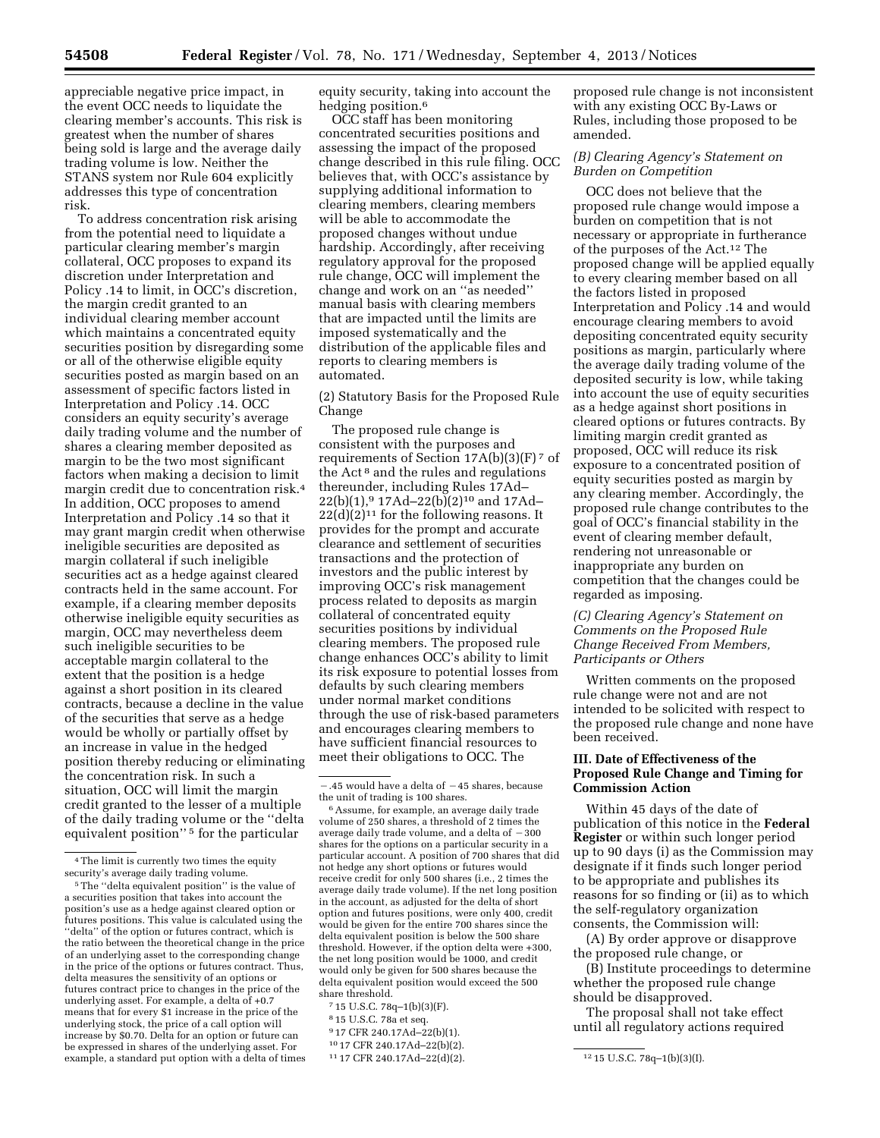appreciable negative price impact, in the event OCC needs to liquidate the clearing member's accounts. This risk is greatest when the number of shares being sold is large and the average daily trading volume is low. Neither the STANS system nor Rule 604 explicitly addresses this type of concentration risk.

To address concentration risk arising from the potential need to liquidate a particular clearing member's margin collateral, OCC proposes to expand its discretion under Interpretation and Policy .14 to limit, in OCC's discretion, the margin credit granted to an individual clearing member account which maintains a concentrated equity securities position by disregarding some or all of the otherwise eligible equity securities posted as margin based on an assessment of specific factors listed in Interpretation and Policy .14. OCC considers an equity security's average daily trading volume and the number of shares a clearing member deposited as margin to be the two most significant factors when making a decision to limit margin credit due to concentration risk.4 In addition, OCC proposes to amend Interpretation and Policy .14 so that it may grant margin credit when otherwise ineligible securities are deposited as margin collateral if such ineligible securities act as a hedge against cleared contracts held in the same account. For example, if a clearing member deposits otherwise ineligible equity securities as margin, OCC may nevertheless deem such ineligible securities to be acceptable margin collateral to the extent that the position is a hedge against a short position in its cleared contracts, because a decline in the value of the securities that serve as a hedge would be wholly or partially offset by an increase in value in the hedged position thereby reducing or eliminating the concentration risk. In such a situation, OCC will limit the margin credit granted to the lesser of a multiple of the daily trading volume or the ''delta equivalent position'' 5 for the particular

5The ''delta equivalent position'' is the value of a securities position that takes into account the position's use as a hedge against cleared option or futures positions. This value is calculated using the "delta" of the option or futures contract, which is the ratio between the theoretical change in the price of an underlying asset to the corresponding change in the price of the options or futures contract. Thus, delta measures the sensitivity of an options or futures contract price to changes in the price of the underlying asset. For example, a delta of +0.7 means that for every \$1 increase in the price of the underlying stock, the price of a call option will increase by \$0.70. Delta for an option or future can be expressed in shares of the underlying asset. For example, a standard put option with a delta of times equity security, taking into account the hedging position.<sup>6</sup>

OCC staff has been monitoring concentrated securities positions and assessing the impact of the proposed change described in this rule filing. OCC believes that, with OCC's assistance by supplying additional information to clearing members, clearing members will be able to accommodate the proposed changes without undue hardship. Accordingly, after receiving regulatory approval for the proposed rule change, OCC will implement the change and work on an ''as needed'' manual basis with clearing members that are impacted until the limits are imposed systematically and the distribution of the applicable files and reports to clearing members is automated.

(2) Statutory Basis for the Proposed Rule Change

The proposed rule change is consistent with the purposes and requirements of Section  $17A(b)(3)(F)$ <sup>7</sup> of the Act 8 and the rules and regulations thereunder, including Rules 17Ad– 22(b)(1),9 17Ad–22(b)(2)10 and 17Ad–  $22(d)(2)^{11}$  for the following reasons. It provides for the prompt and accurate clearance and settlement of securities transactions and the protection of investors and the public interest by improving OCC's risk management process related to deposits as margin collateral of concentrated equity securities positions by individual clearing members. The proposed rule change enhances OCC's ability to limit its risk exposure to potential losses from defaults by such clearing members under normal market conditions through the use of risk-based parameters and encourages clearing members to have sufficient financial resources to meet their obligations to OCC. The

6Assume, for example, an average daily trade volume of 250 shares, a threshold of 2 times the average daily trade volume, and a delta of  $-300$ shares for the options on a particular security in a particular account. A position of 700 shares that did not hedge any short options or futures would receive credit for only 500 shares (i.e., 2 times the average daily trade volume). If the net long position in the account, as adjusted for the delta of short option and futures positions, were only 400, credit would be given for the entire 700 shares since the delta equivalent position is below the 500 share threshold. However, if the option delta were +300, the net long position would be 1000, and credit would only be given for 500 shares because the delta equivalent position would exceed the 500 share threshold.

- 8 15 U.S.C. 78a et seq.
- 9 17 CFR 240.17Ad–22(b)(1).
- 10 17 CFR 240.17Ad–22(b)(2).

proposed rule change is not inconsistent with any existing OCC By-Laws or Rules, including those proposed to be amended.

# *(B) Clearing Agency's Statement on Burden on Competition*

OCC does not believe that the proposed rule change would impose a burden on competition that is not necessary or appropriate in furtherance of the purposes of the Act.12 The proposed change will be applied equally to every clearing member based on all the factors listed in proposed Interpretation and Policy .14 and would encourage clearing members to avoid depositing concentrated equity security positions as margin, particularly where the average daily trading volume of the deposited security is low, while taking into account the use of equity securities as a hedge against short positions in cleared options or futures contracts. By limiting margin credit granted as proposed, OCC will reduce its risk exposure to a concentrated position of equity securities posted as margin by any clearing member. Accordingly, the proposed rule change contributes to the goal of OCC's financial stability in the event of clearing member default, rendering not unreasonable or inappropriate any burden on competition that the changes could be regarded as imposing.

# *(C) Clearing Agency's Statement on Comments on the Proposed Rule Change Received From Members, Participants or Others*

Written comments on the proposed rule change were not and are not intended to be solicited with respect to the proposed rule change and none have been received.

# **III. Date of Effectiveness of the Proposed Rule Change and Timing for Commission Action**

Within 45 days of the date of publication of this notice in the **Federal Register** or within such longer period up to 90 days (i) as the Commission may designate if it finds such longer period to be appropriate and publishes its reasons for so finding or (ii) as to which the self-regulatory organization consents, the Commission will:

(A) By order approve or disapprove the proposed rule change, or

(B) Institute proceedings to determine whether the proposed rule change should be disapproved.

The proposal shall not take effect until all regulatory actions required

<sup>4</sup>The limit is currently two times the equity security's average daily trading volume.

 $-0.45$  would have a delta of  $-45$  shares, because the unit of trading is 100 shares.

<sup>7</sup> 15 U.S.C. 78q–1(b)(3)(F).

<sup>11</sup> 17 CFR 240.17Ad–22(d)(2). 12 15 U.S.C. 78q–1(b)(3)(I).